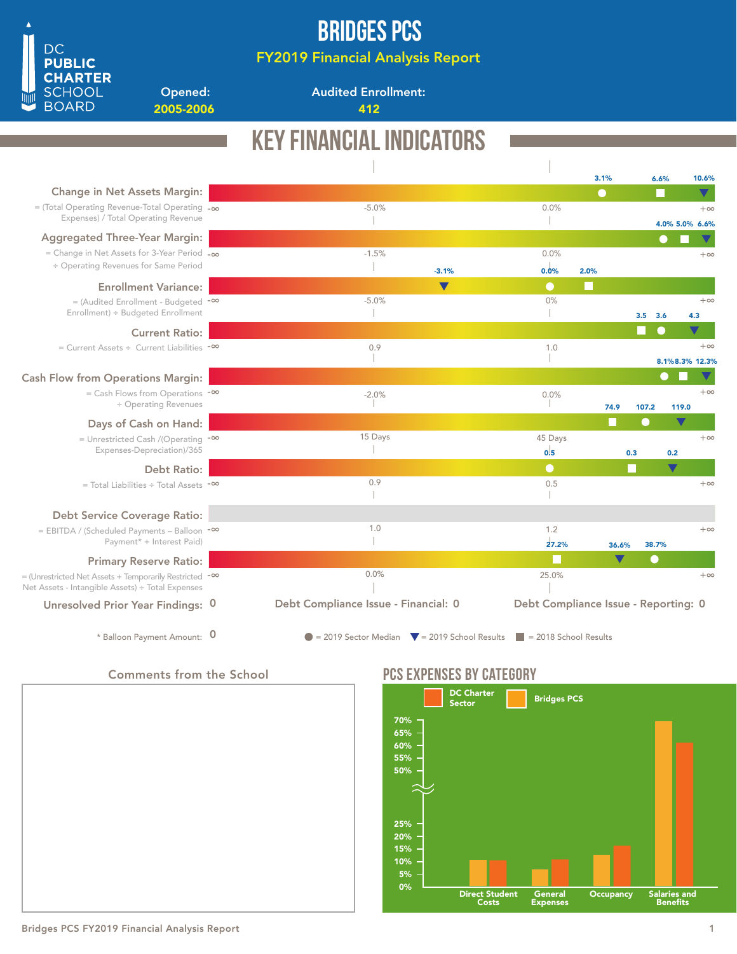

## Bridges PCS

FY2019 Financial Analysis Report

Audited Enrollment:

2005-2006 412

### Key Financial Indicators 3.1% 6.6% 10.6% Change in Net Assets Margin:  $\blacktriangledown$ -5.0% 0.0% = (Total Operating Revenue-Total Operating -∞  $+\infty$ Expenses) / Total Operating Revenue  $\begin{array}{c} \hline \end{array}$  $\overline{\phantom{a}}$ 4.0% 5.0% 6.6% Aggregated Three-Year Margin: C -1.5% 0.0% = Change in Net Assets for 3-Year Period -∞  $+ \infty$ ÷ Operating Revenues for Same Period  $\mathbb T$ -3.1%0.0% 2.0% Enrollment Variance:  $\bullet$  $-5.0%$ 0% = (Audited Enrollment - Budgeted <sup>-∞</sup>  $+\infty$ Enrollment) ÷ Budgeted Enrollment  $\mathbb{R}$  $\mathbf{I}$ 3.6 3.5 4.3 Current Ratio: = Current Assets ÷ Current Liabilities -∞ 0.9 1.0  $+\infty$ T -1 8.1% 8.3% 12.3% Cash Flow from Operations Margin: = Cash Flows from Operations -∞  $+\infty$  $-2.0\%$  $0.0\%$ ÷ Operating Revenues 74.9 107.2 119.0 107.2 Days of Cash on Hand: 15 Days 45 Days  $+\infty$ = Unrestricted Cash /(Operating <sup>-∞</sup> Expenses-Depreciation)/365  $\overline{\phantom{a}}$  $0.5$ 0.3 0.2 Debt Ratio:  $\bullet$ 0.9 0.5 +∞ = Total Liabilities ÷ Total Assets -∞  $\mathcal I$  $\mathcal{A}$ Debt Service Coverage Ratio: 1.0 1.2 = EBITDA / (Scheduled Payments – Balloon <sup>-∞</sup>  $+ \infty$ Payment\* + Interest Paid)  $\overline{1}$ 27.2% 36.6% 38.7% Primary Reserve Ratio: 0.0% 25.0%  $+\infty$ = (Unrestricted Net Assets + Temporarily Restricted <sup>-∞</sup> Net Assets - Intangible Assets) ÷ Total Expenses Debt Compliance Issue - Financial: 0 Debt Compliance Issue - Reporting: 0 Unresolved Prior Year Findings: 0 \* Balloon Payment Amount:  $\overline{0}$  = 2019 Sector Median  $\overline{v}$  = 2019 School Results = 2018 School Results 0

Comments from the School

Opened:



### PCS EXPENSES BY CATEGORY